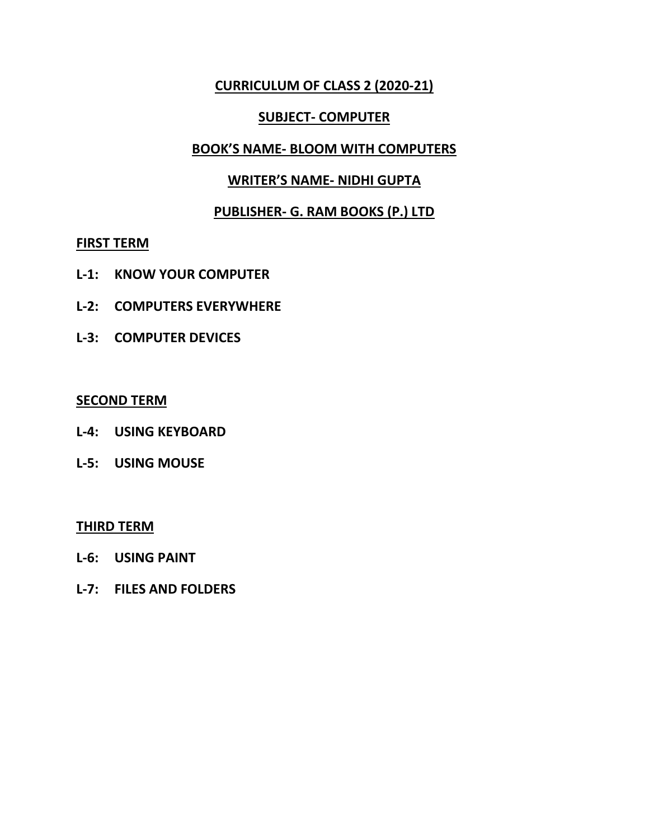#### **CURRICULUM OF CLASS 2 (2020-21)**

#### **SUBJECT- COMPUTER**

#### **BOOK'S NAME- BLOOM WITH COMPUTERS**

#### **WRITER'S NAME- NIDHI GUPTA**

#### **PUBLISHER- G. RAM BOOKS (P.) LTD**

#### **FIRST TERM**

- **L-1: KNOW YOUR COMPUTER**
- **L-2: COMPUTERS EVERYWHERE**
- **L-3: COMPUTER DEVICES**

#### **SECOND TERM**

- **L-4: USING KEYBOARD**
- **L-5: USING MOUSE**

#### **THIRD TERM**

- **L-6: USING PAINT**
- **L-7: FILES AND FOLDERS**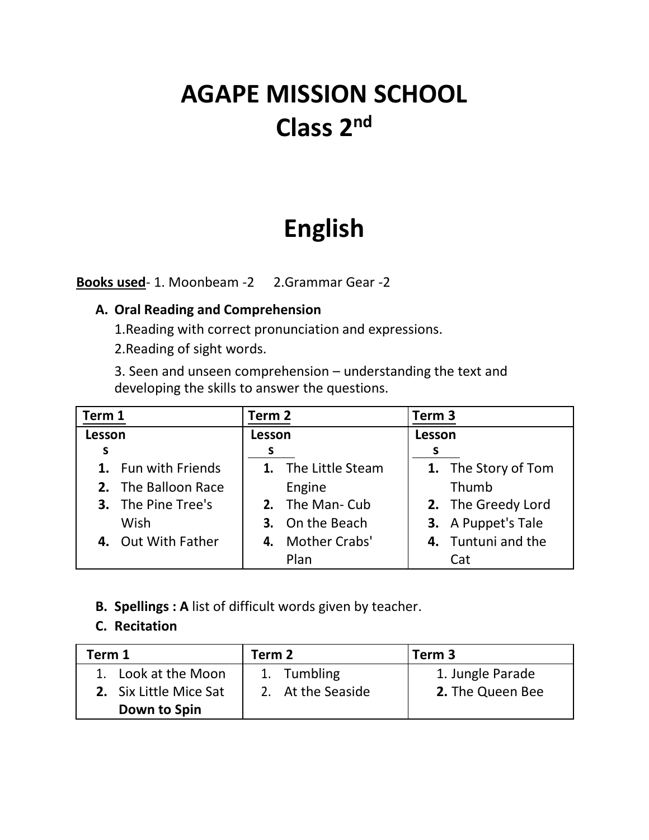# **AGAPE MISSION SCHOOL Class 2nd**

## **English**

**Books used**- 1. Moonbeam -2 2.Grammar Gear -2

#### **A. Oral Reading and Comprehension**

1.Reading with correct pronunciation and expressions.

2.Reading of sight words.

3. Seen and unseen comprehension – understanding the text and developing the skills to answer the questions.

| Term 1                    | Term 2              | Term 3              |
|---------------------------|---------------------|---------------------|
| Lesson                    | Lesson              | Lesson              |
| S                         |                     |                     |
| 1. Fun with Friends       | 1. The Little Steam | 1. The Story of Tom |
| 2. The Balloon Race       | Engine              | Thumb               |
| <b>3.</b> The Pine Tree's | 2. The Man-Cub      | 2. The Greedy Lord  |
| Wish                      | 3. On the Beach     | 3. A Puppet's Tale  |
| 4. Out With Father        | 4. Mother Crabs'    | 4. Tuntuni and the  |
|                           | Plan                | Cat                 |

#### **B. Spellings : A** list of difficult words given by teacher.

#### **C. Recitation**

| Term 1                 | Term 2            | Term <sub>3</sub> |  |
|------------------------|-------------------|-------------------|--|
| 1. Look at the Moon    | 1. Tumbling       | 1. Jungle Parade  |  |
| 2. Six Little Mice Sat | 2. At the Seaside | 2. The Queen Bee  |  |
| Down to Spin           |                   |                   |  |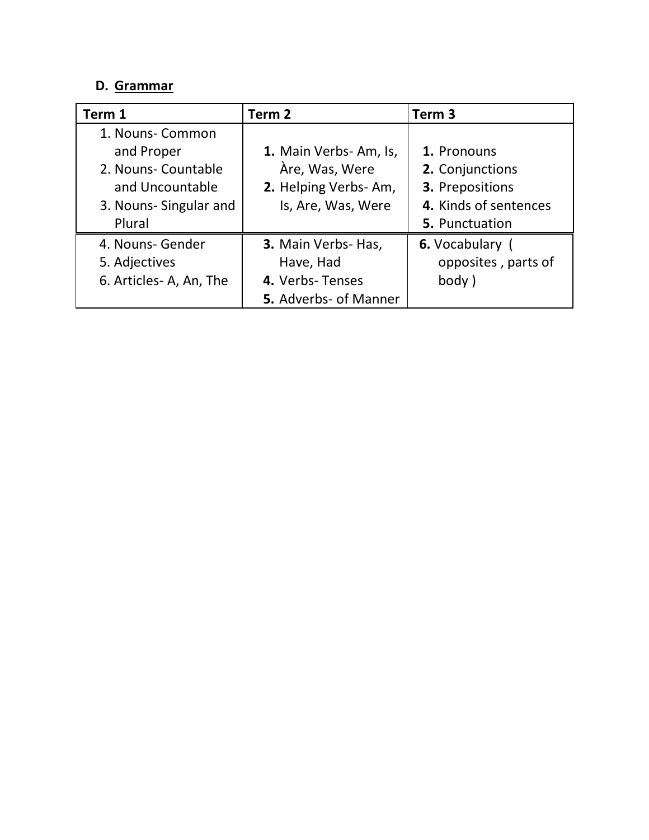#### **D. Grammar**

| Term 1                 | Term 2                | Term <sub>3</sub>     |
|------------------------|-----------------------|-----------------------|
| 1. Nouns- Common       |                       |                       |
| and Proper             | 1. Main Verbs-Am, Is, | 1. Pronouns           |
| 2. Nouns- Countable    | Àre, Was, Were        | 2. Conjunctions       |
| and Uncountable        | 2. Helping Verbs-Am,  | 3. Prepositions       |
| 3. Nouns-Singular and  | Is, Are, Was, Were    | 4. Kinds of sentences |
| Plural                 |                       | 5. Punctuation        |
| 4. Nouns- Gender       | 3. Main Verbs- Has,   | 6. Vocabulary (       |
| 5. Adjectives          | Have, Had             | opposites, parts of   |
| 6. Articles-A, An, The | 4. Verbs-Tenses       | body)                 |
|                        | 5. Adverbs- of Manner |                       |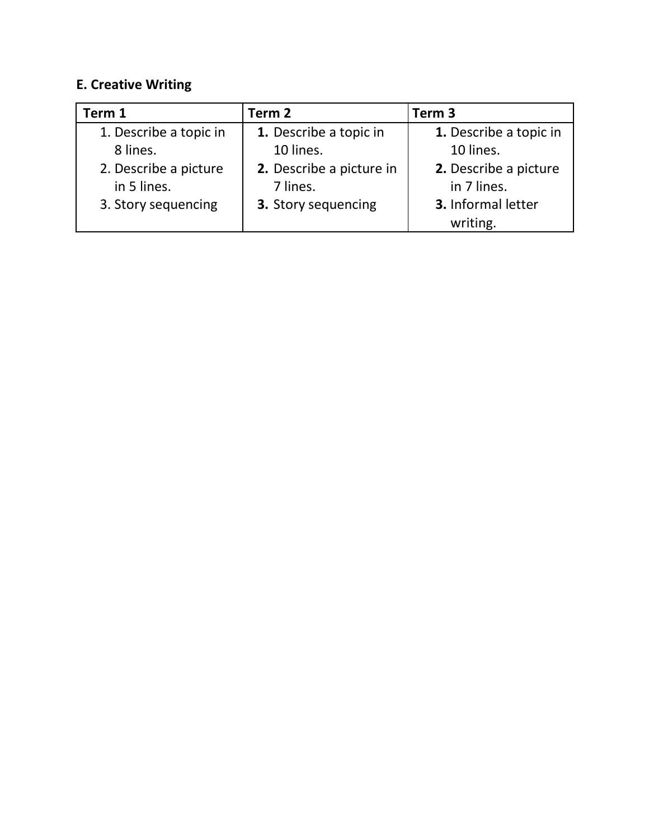## **E. Creative Writing**

| Term 1                 | Term 2                   | Term <sub>3</sub>      |
|------------------------|--------------------------|------------------------|
| 1. Describe a topic in | 1. Describe a topic in   | 1. Describe a topic in |
| 8 lines.               | 10 lines.                | 10 lines.              |
| 2. Describe a picture  | 2. Describe a picture in | 2. Describe a picture  |
| in 5 lines.            | 7 lines.                 | in 7 lines.            |
| 3. Story sequencing    | 3. Story sequencing      | 3. Informal letter     |
|                        |                          | writing.               |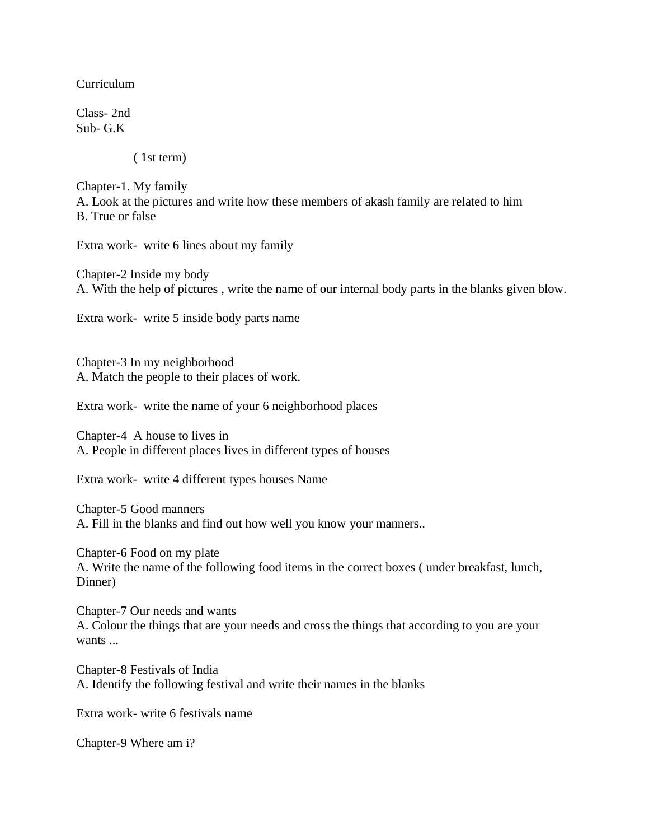Curriculum

Class- 2nd Sub- G.K

( 1st term)

Chapter-1. My family A. Look at the pictures and write how these members of akash family are related to him B. True or false

Extra work- write 6 lines about my family

Chapter-2 Inside my body A. With the help of pictures , write the name of our internal body parts in the blanks given blow.

Extra work- write 5 inside body parts name

Chapter-3 In my neighborhood A. Match the people to their places of work.

Extra work- write the name of your 6 neighborhood places

Chapter-4 A house to lives in A. People in different places lives in different types of houses

Extra work- write 4 different types houses Name

Chapter-5 Good manners A. Fill in the blanks and find out how well you know your manners..

Chapter-6 Food on my plate A. Write the name of the following food items in the correct boxes ( under breakfast, lunch, Dinner)

Chapter-7 Our needs and wants A. Colour the things that are your needs and cross the things that according to you are your wants ...

Chapter-8 Festivals of India A. Identify the following festival and write their names in the blanks

Extra work- write 6 festivals name

Chapter-9 Where am i?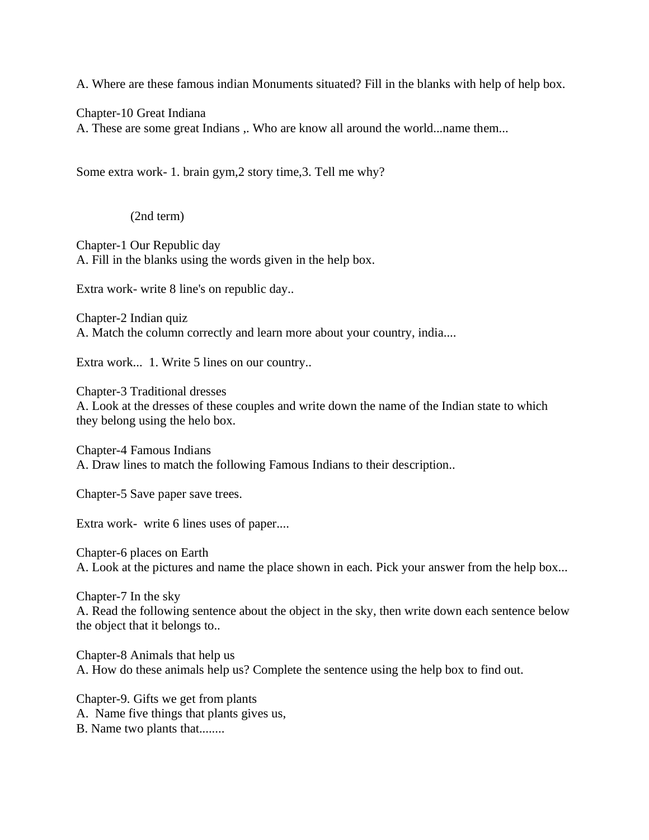A. Where are these famous indian Monuments situated? Fill in the blanks with help of help box.

Chapter-10 Great Indiana

A. These are some great Indians ,. Who are know all around the world...name them...

Some extra work- 1. brain gym,2 story time,3. Tell me why?

(2nd term)

Chapter-1 Our Republic day A. Fill in the blanks using the words given in the help box.

Extra work- write 8 line's on republic day..

Chapter-2 Indian quiz A. Match the column correctly and learn more about your country, india....

Extra work... 1. Write 5 lines on our country..

Chapter-3 Traditional dresses A. Look at the dresses of these couples and write down the name of the Indian state to which they belong using the helo box.

Chapter-4 Famous Indians A. Draw lines to match the following Famous Indians to their description..

Chapter-5 Save paper save trees.

Extra work- write 6 lines uses of paper....

Chapter-6 places on Earth A. Look at the pictures and name the place shown in each. Pick your answer from the help box...

Chapter-7 In the sky A. Read the following sentence about the object in the sky, then write down each sentence below the object that it belongs to..

Chapter-8 Animals that help us A. How do these animals help us? Complete the sentence using the help box to find out.

Chapter-9. Gifts we get from plants A. Name five things that plants gives us, B. Name two plants that........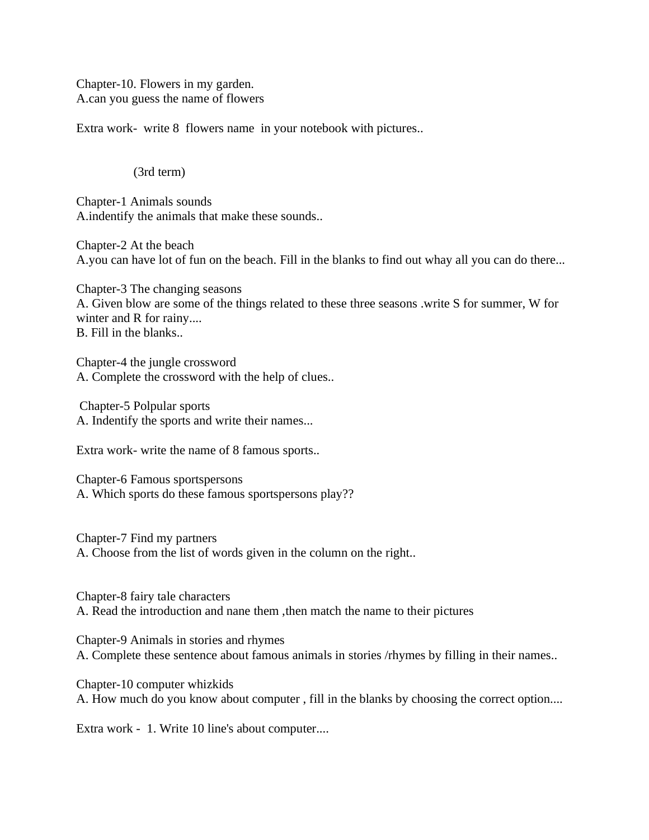Chapter-10. Flowers in my garden. A.can you guess the name of flowers

Extra work- write 8 flowers name in your notebook with pictures..

#### (3rd term)

Chapter-1 Animals sounds A.indentify the animals that make these sounds..

Chapter-2 At the beach A.you can have lot of fun on the beach. Fill in the blanks to find out whay all you can do there...

Chapter-3 The changing seasons A. Given blow are some of the things related to these three seasons .write S for summer, W for winter and R for rainy.... B. Fill in the blanks..

Chapter-4 the jungle crossword A. Complete the crossword with the help of clues..

Chapter-5 Polpular sports A. Indentify the sports and write their names...

Extra work- write the name of 8 famous sports..

Chapter-6 Famous sportspersons A. Which sports do these famous sportspersons play??

Chapter-7 Find my partners A. Choose from the list of words given in the column on the right..

Chapter-8 fairy tale characters A. Read the introduction and nane them ,then match the name to their pictures

Chapter-9 Animals in stories and rhymes A. Complete these sentence about famous animals in stories /rhymes by filling in their names..

Chapter-10 computer whizkids A. How much do you know about computer , fill in the blanks by choosing the correct option....

Extra work - 1. Write 10 line's about computer....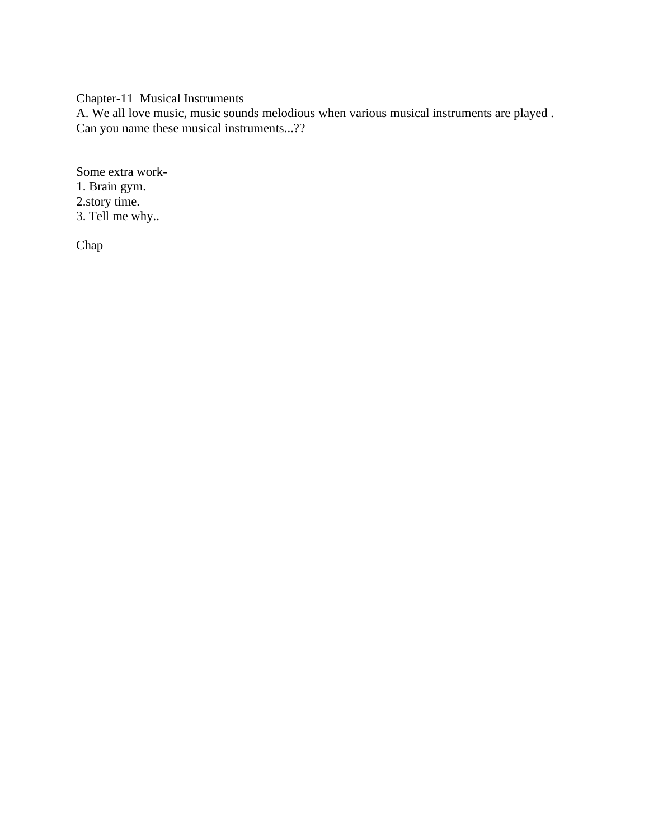Chapter-11 Musical Instruments

A. We all love music, music sounds melodious when various musical instruments are played . Can you name these musical instruments...??

Some extra work-1. Brain gym. 2.story time. 3. Tell me why..

Chap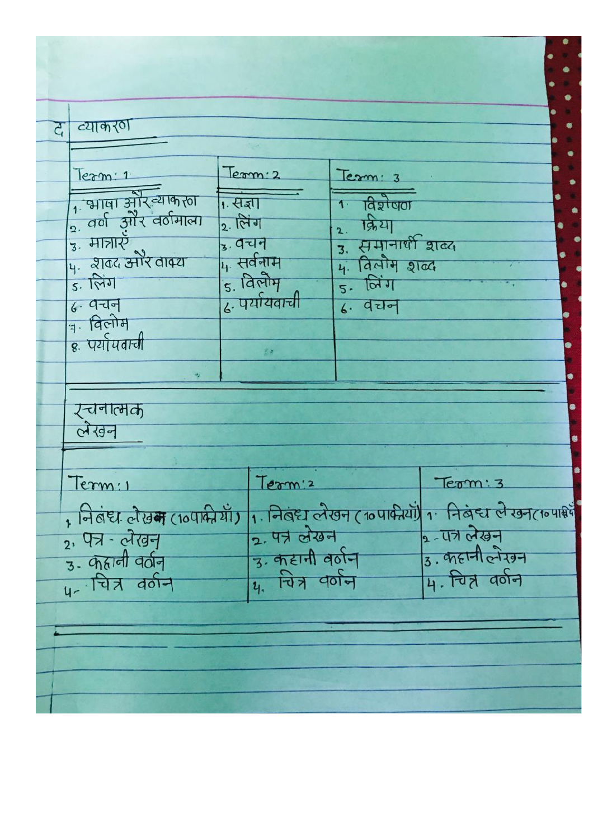| द                    | व्याकरण                                     |                       |            |                                    |                                                        |           |
|----------------------|---------------------------------------------|-----------------------|------------|------------------------------------|--------------------------------------------------------|-----------|
|                      |                                             |                       |            |                                    |                                                        |           |
|                      | lexm:1                                      |                       | Term: 2    | Term: 3                            |                                                        |           |
|                      | 1 भाषा और व्याकरता<br>2. वर्ण और वर्षमात्मा | 1. संज्ञा             |            | <u>1. विशेषण</u>                   |                                                        |           |
|                      | $3.$ मात्राएँ                               | 2. लिंग               |            | $2.$ किया                          |                                                        |           |
|                      | 4. शब्द ओर वाक्य                            | <sub>3</sub> . वचन    | 4. सर्वनाम | उ. समानार्थी शब्द<br>4. विलोम शब्द |                                                        |           |
|                      | $5.1$ लिंग                                  |                       | 5. विलोम   | $5.$ लिंग                          |                                                        | $\bullet$ |
|                      | 6.9J                                        | ढ. पर्यायवाची         |            | $6.$ पेरान                         |                                                        |           |
|                      | <u>बन्धिकोम</u>                             |                       |            |                                    |                                                        |           |
|                      | 8. पर्यापवाची                               |                       |            |                                    |                                                        |           |
|                      |                                             |                       |            |                                    |                                                        |           |
|                      |                                             |                       |            |                                    |                                                        |           |
|                      | र्-चनात्मक<br>लेखन                          |                       |            |                                    |                                                        |           |
|                      |                                             |                       |            |                                    |                                                        |           |
|                      | Term: 1                                     |                       | Term's     |                                    | Term: 3                                                |           |
|                      | , निलंदा लेख म (10पाकी थाँ)                 |                       |            |                                    | 1. निबंध लेखन (10 पार्क यों) 1. निबंध लेखन (10 पार्श्व |           |
|                      | 2. पत्र - लेखन                              | 2. 47 लेखन            |            | $2 - 47$ लेखन                      |                                                        |           |
| $3 - 9$ and $40 - 3$ |                                             | 3. कहानी वर्णन        |            | $3.$ $\pi$ $H$ $\alpha$ $\pi$      |                                                        |           |
| <u>4- चित्र वर्न</u> |                                             | <u>4. चित्र वर्णन</u> |            | 4. चित्र वर्णन                     |                                                        |           |
|                      |                                             |                       |            |                                    |                                                        |           |
|                      |                                             |                       |            |                                    |                                                        |           |
|                      |                                             |                       |            |                                    |                                                        |           |
|                      |                                             |                       |            |                                    |                                                        |           |
|                      |                                             |                       |            |                                    |                                                        |           |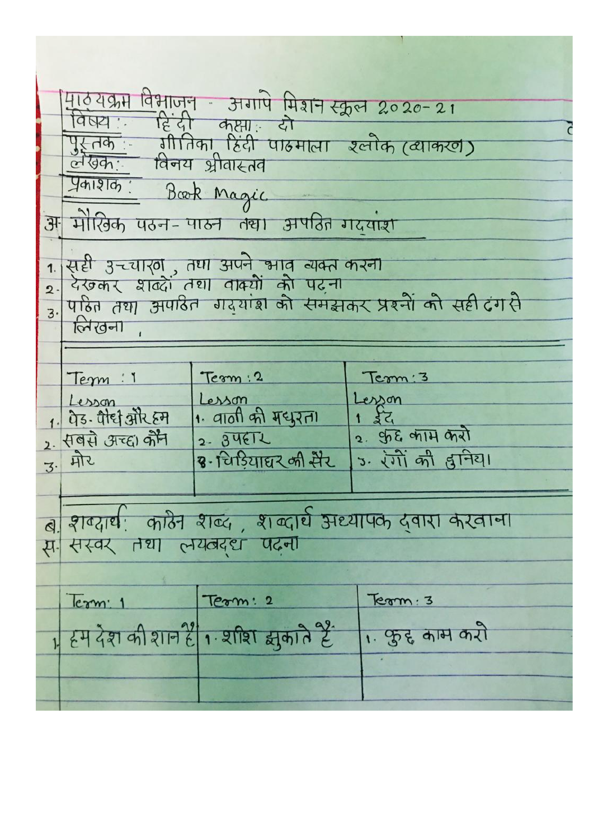माठ्यक्रम विभाजन - अगापे मिशन स्कूल 2020-21<br>विषय:- हिंदी कक्ष्य: दो पुस्तक गातिका हिंदी पाठमाला ख्लौक (व्याकरण)<br>लेखिक: विनय श्रीवास्तव Julio Book Magic अ मौरिक पठन-पाठन तथा अपतित गदयांश सही उच्चारण , तथा अपने भाव न्यक्त करना<br>देखकर शक्दों तथा वाक्यों को पढ़ना<br>पहित तथा अपाठीत ग्रदयांश को समझकर प्रश्नों को सही दंग से 1.  $\overline{2}$  $\overline{3}$ लिखना Tem : 1 Term: 2 Term: 3 Lesson Lesson esson 1. पेड-पौद्य और हम 1. वाली की मधुरत।  $52$ 2. फुर्द जाम करो 2. सबसे अच्हा कौन  $2 - 34612$ 3. रंगों की द्वानिया <u>3. मोर</u> 3-विडियाघर की मेर ब शक्यार्थ: काठेन शब्द, शब्दार्थ अध्यापक दवारा करवाना स- सस्वर तथा लयत्वदद्य पढना  $\overline{e}$   $\overline{r}$   $\overline{r}$   $\overline{r}$   $\overline{r}$   $\overline{r}$   $\overline{r}$   $\overline{r}$   $\overline{r}$   $\overline{r}$   $\overline{r}$   $\overline{r}$   $\overline{r}$   $\overline{r}$   $\overline{r}$   $\overline{r}$   $\overline{r}$   $\overline{r}$   $\overline{r}$   $\overline{r}$   $\overline{r}$   $\overline{r}$   $\overline{r}$   $\overline{r}$   $\overline{$ Term: 2  $Term:3$ 1 हम देश की शान हैं। श्रीश झकाते हैं 1. फुद्द काम करो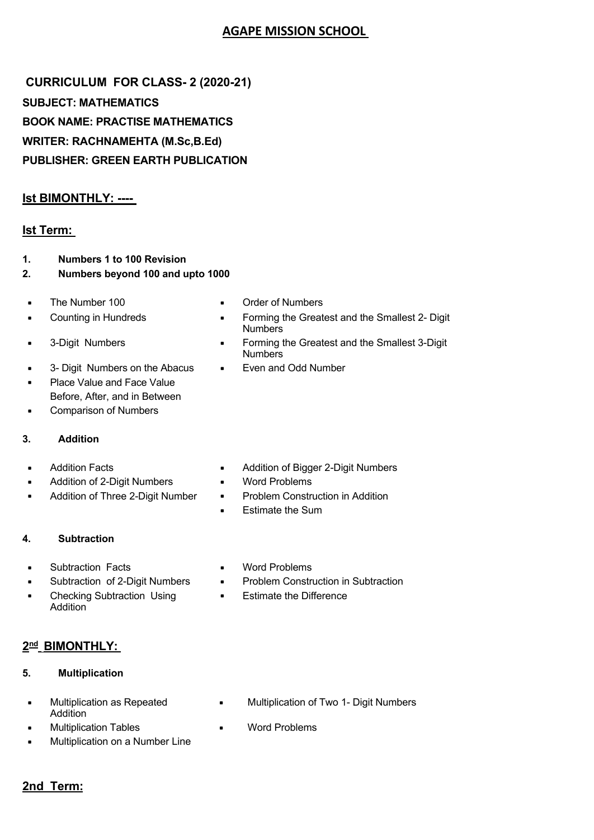#### **AGAPE MISSION SCHOOL**

CURRICULUM FOR CLASS- 2 (2020-21) **SUBJECT: MATHEMATICS BOOK NAME: PRACTISE MATHEMATICS WRITER: RACHNAMEHTA (M.Sc,B.Ed) PUBLISHER: GREEN EARTH PUBLICATION** 

#### **Ist BIMONTHLY: ----**

#### **Ist Term:**

- **Numbers 1 to 100 Revision**  $\mathbf 1$ .
- $2.$ Numbers beyond 100 and upto 1000
- The Number 100
- **Counting in Hundreds**  $\blacksquare$
- 3-Digit Numbers  $\blacksquare$
- 3- Digit Numbers on the Abacus  $\blacksquare$
- Place Value and Face Value  $\blacksquare$ Before, After, and in Between
- **Comparison of Numbers**  $\blacksquare$
- **Addition** 3.
- **Addition Facts**  $\blacksquare$
- Addition of 2-Digit Numbers  $\blacksquare$
- Addition of Three 2-Digit Number  $\blacksquare$
- 
- Addition of Bigger 2-Digit Numbers  $\bullet$
- **Word Problems**  $\blacksquare$

**Order of Numbers** 

Even and Odd Number

**Numbers** 

**Numbers** 

Forming the Greatest and the Smallest 2- Digit

Forming the Greatest and the Smallest 3-Digit

 $\blacksquare$ 

 $\blacksquare$ 

 $\blacksquare$ 

 $\blacksquare$ 

- Problem Construction in Addition  $\blacksquare$
- **Estimate the Sum**

#### 4. **Subtraction**

- **Subtraction Facts**  $\blacksquare$
- Subtraction of 2-Digit Numbers
- **Checking Subtraction Using**  $\blacksquare$ Addition
- 2<sup>nd</sup> BIMONTHLY:
- $5<sub>1</sub>$ **Multiplication**
- Multiplication as Repeated Addition
- **Multiplication Tables**
- Multiplication on a Number Line
- **Word Problems**  $\blacksquare$
- **Problem Construction in Subtraction**
- **Estimate the Difference**  $\blacksquare$

- $\blacksquare$ Multiplication of Two 1- Digit Numbers
- **Word Problems**  $\blacksquare$

#### 2nd Term: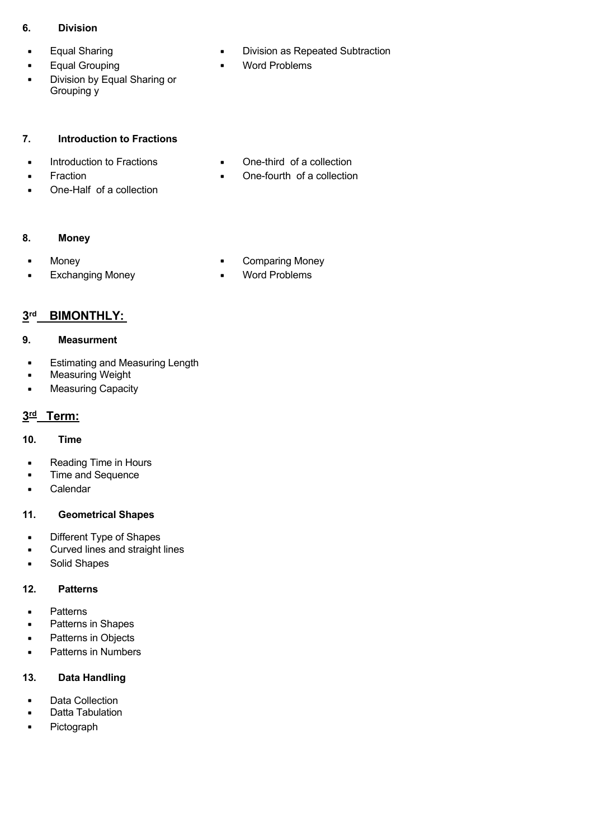#### **6. Division**

- 
- Equal Grouping Word Problems
- Division by Equal Sharing or Grouping y
- Equal Sharing  **Division as Repeated Subtraction** 
	-

#### **7. Introduction to Fractions**

- 
- 
- One-Half of a collection
- Introduction to Fractions One-third of a collection
- Fraction Cne-fourth of a collection

#### **8. Money**

- 
- Exchanging Money Word Problems
- Money  **Comparing Money** 
	-

### **3rd BIMONTHLY:**

#### **9. Measurment**

- Estimating and Measuring Length
- Measuring Weight
- Measuring Capacity

#### **3rd Term:**

#### **10. Time**

- Reading Time in Hours
- Time and Sequence
- Calendar

#### **11. Geometrical Shapes**

- Different Type of Shapes
- Curved lines and straight lines
- Solid Shapes

#### **12. Patterns**

- Patterns
- Patterns in Shapes
- Patterns in Objects
- Patterns in Numbers

#### **13. Data Handling**

- Data Collection
- Datta Tabulation
- Pictograph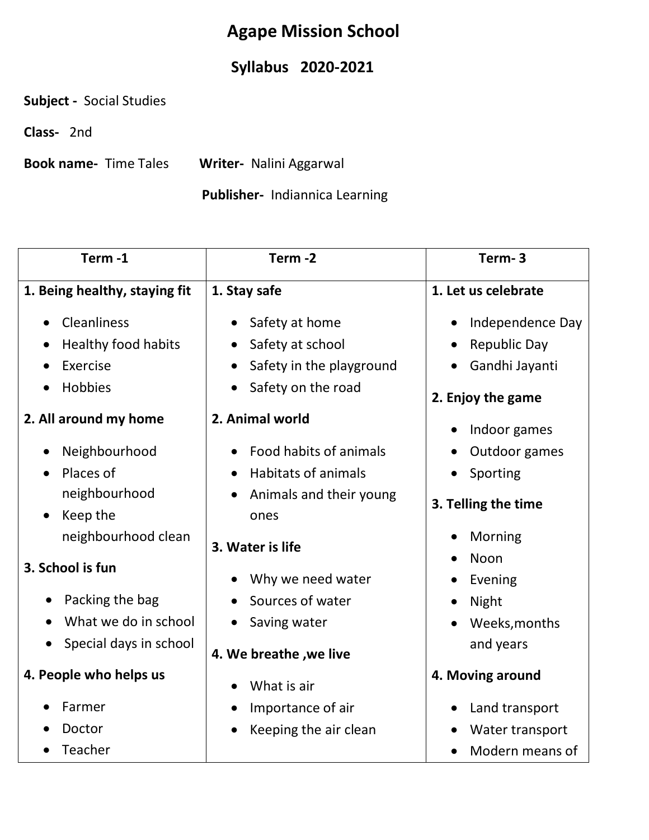## **Agape Mission School**

## **Syllabus 2020-2021**

**Subject -** Social Studies

**Class-** 2nd

**Book name-** Time Tales **Writer-** Nalini Aggarwal

### **Publisher-** Indiannica Learning

| Term-1                        | Term-2                          | Term-3              |  |
|-------------------------------|---------------------------------|---------------------|--|
| 1. Being healthy, staying fit | 1. Stay safe                    | 1. Let us celebrate |  |
| Cleanliness                   | Safety at home                  | Independence Day    |  |
| <b>Healthy food habits</b>    | Safety at school                | <b>Republic Day</b> |  |
| Exercise                      | Safety in the playground        | Gandhi Jayanti      |  |
| Hobbies                       | Safety on the road              | 2. Enjoy the game   |  |
| 2. All around my home         | 2. Animal world                 | Indoor games        |  |
| Neighbourhood                 | Food habits of animals          | Outdoor games       |  |
| Places of                     | <b>Habitats of animals</b>      | Sporting            |  |
| neighbourhood<br>Keep the     | Animals and their young<br>ones | 3. Telling the time |  |
| neighbourhood clean           | 3. Water is life                | Morning             |  |
| 3. School is fun              | Why we need water               | Noon<br>Evening     |  |
| Packing the bag               | Sources of water                | Night               |  |
| What we do in school          | Saving water                    | Weeks, months       |  |
| Special days in school        | 4. We breathe , we live         | and years           |  |
| 4. People who helps us        | What is air                     | 4. Moving around    |  |
| Farmer                        | Importance of air               | Land transport      |  |
| Doctor                        | Keeping the air clean           | Water transport     |  |
| Teacher                       |                                 | Modern means of     |  |